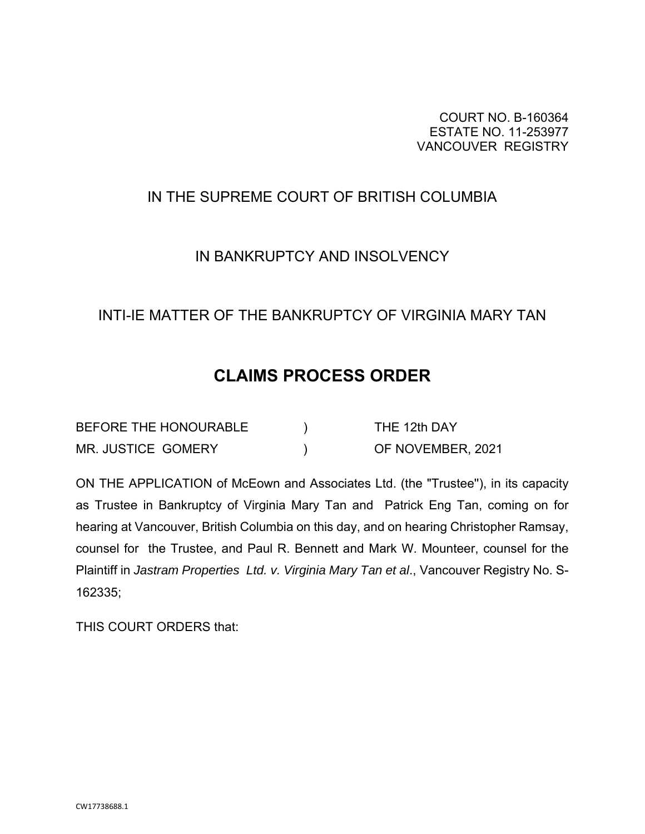COURT NO. B-160364 ESTATE NO. 11-253977 VANCOUVER REGISTRY

# IN THE SUPREME COURT OF BRITISH COLUMBIA

## IN BANKRUPTCY AND INSOLVENCY

## INTI-IE MATTER OF THE BANKRUPTCY OF VIRGINIA MARY TAN

# **CLAIMS PROCESS ORDER**

| BEFORE THE HONOURABLE     | THE 12th DAY      |
|---------------------------|-------------------|
| <b>MR. JUSTICE GOMERY</b> | OF NOVEMBER, 2021 |

ON THE APPLICATION of McEown and Associates Ltd. (the "Trustee''), in its capacity as Trustee in Bankruptcy of Virginia Mary Tan and Patrick Eng Tan, coming on for hearing at Vancouver, British Columbia on this day, and on hearing Christopher Ramsay, counsel for the Trustee, and Paul R. Bennett and Mark W. Mounteer, counsel for the Plaintiff in *Jastram Properties Ltd. v. Virginia Mary Tan et al*., Vancouver Registry No. S-162335;

THIS COURT ORDERS that: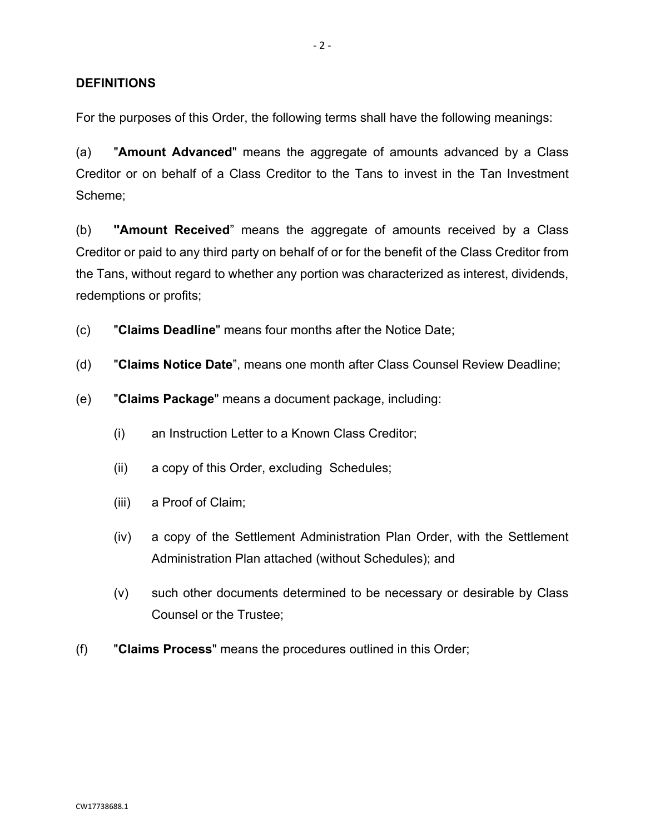## **DEFINITIONS**

For the purposes of this Order, the following terms shall have the following meanings:

(a) "**Amount Advanced**" means the aggregate of amounts advanced by a Class Creditor or on behalf of a Class Creditor to the Tans to invest in the Tan Investment Scheme;

(b) **''Amount Received**" means the aggregate of amounts received by a Class Creditor or paid to any third party on behalf of or for the benefit of the Class Creditor from the Tans, without regard to whether any portion was characterized as interest, dividends, redemptions or profits;

(c) "**Claims Deadline**" means four months after the Notice Date;

- (d) "**Claims Notice Date**", means one month after Class Counsel Review Deadline;
- (e) "**Claims Package**" means a document package, including:
	- (i) an Instruction Letter to a Known Class Creditor;
	- (ii) a copy of this Order, excluding Schedules;
	- (iii) a Proof of Claim;
	- (iv) a copy of the Settlement Administration Plan Order, with the Settlement Administration Plan attached (without Schedules); and
	- (v) such other documents determined to be necessary or desirable by Class Counsel or the Trustee;
- (f) "**Claims Process**" means the procedures outlined in this Order;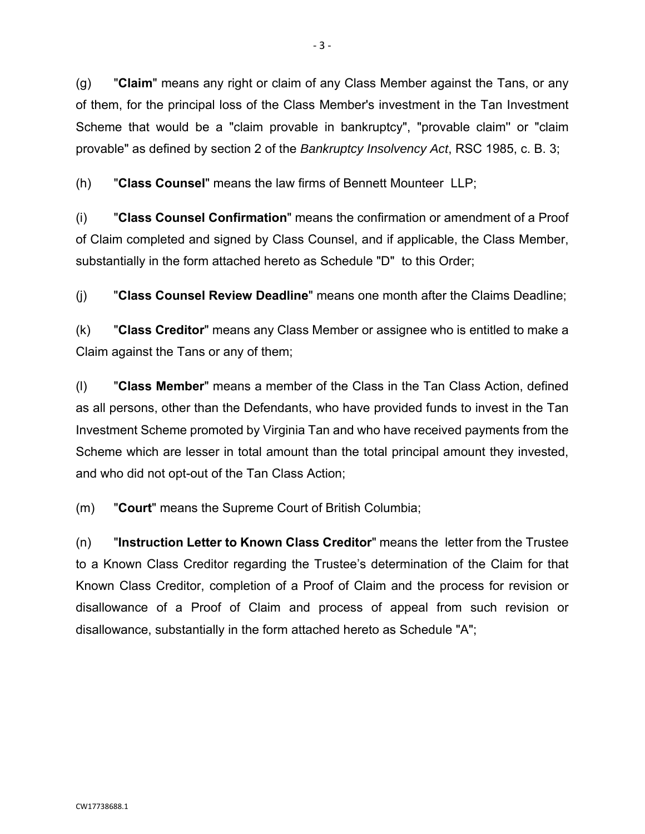(g) "**Claim**" means any right or claim of any Class Member against the Tans, or any of them, for the principal loss of the Class Member's investment in the Tan Investment Scheme that would be a "claim provable in bankruptcy", "provable claim'' or "claim provable" as defined by section 2 of the *Bankruptcy Insolvency Act*, RSC 1985, c. B. 3;

(h) "**Class Counsel**" means the law firms of Bennett Mounteer LLP;

(i) "**Class Counsel Confirmation**" means the confirmation or amendment of a Proof of Claim completed and signed by Class Counsel, and if applicable, the Class Member, substantially in the form attached hereto as Schedule "D" to this Order;

(j) "**Class Counsel Review Deadline**" means one month after the Claims Deadline;

(k) "**Class Creditor**" means any Class Member or assignee who is entitled to make a Claim against the Tans or any of them;

(l) "**Class Member**" means a member of the Class in the Tan Class Action, defined as all persons, other than the Defendants, who have provided funds to invest in the Tan Investment Scheme promoted by Virginia Tan and who have received payments from the Scheme which are lesser in total amount than the total principal amount they invested, and who did not opt-out of the Tan Class Action;

(m) "**Court**" means the Supreme Court of British Columbia;

(n) "**Instruction Letter to Known Class Creditor**" means the letter from the Trustee to a Known Class Creditor regarding the Trustee's determination of the Claim for that Known Class Creditor, completion of a Proof of Claim and the process for revision or disallowance of a Proof of Claim and process of appeal from such revision or disallowance, substantially in the form attached hereto as Schedule "A";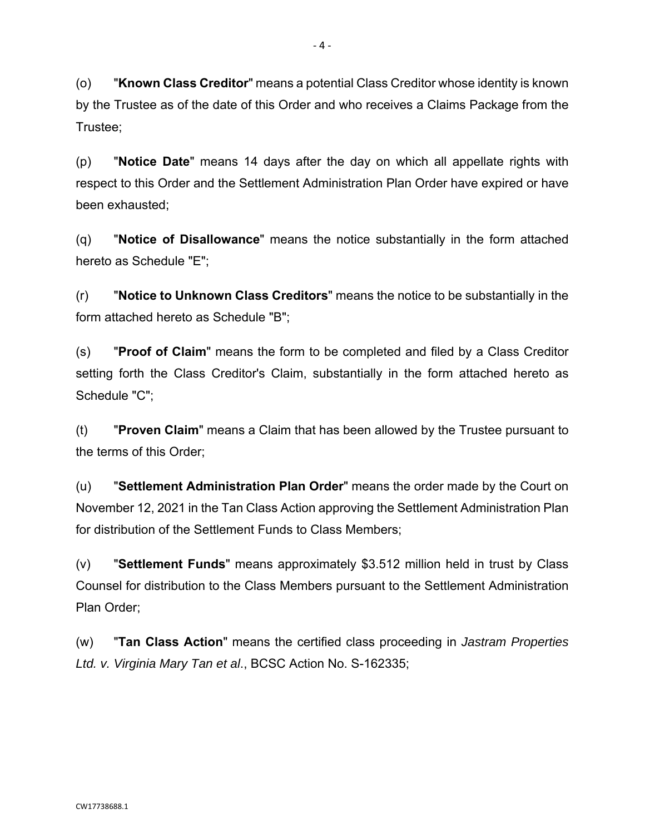(o) "**Known Class Creditor**" means a potential Class Creditor whose identity is known by the Trustee as of the date of this Order and who receives a Claims Package from the Trustee;

(p) "**Notice Date**" means 14 days after the day on which all appellate rights with respect to this Order and the Settlement Administration Plan Order have expired or have been exhausted;

(q) "**Notice of Disallowance**" means the notice substantially in the form attached hereto as Schedule "E";

(r) "**Notice to Unknown Class Creditors**" means the notice to be substantially in the form attached hereto as Schedule "B";

(s) "**Proof of Claim**" means the form to be completed and filed by a Class Creditor setting forth the Class Creditor's Claim, substantially in the form attached hereto as Schedule "C";

(t) "**Proven Claim**" means a Claim that has been allowed by the Trustee pursuant to the terms of this Order;

(u) "**Settlement Administration Plan Order**" means the order made by the Court on November 12, 2021 in the Tan Class Action approving the Settlement Administration Plan for distribution of the Settlement Funds to Class Members;

(v) "**Settlement Funds**" means approximately \$3.512 million held in trust by Class Counsel for distribution to the Class Members pursuant to the Settlement Administration Plan Order;

(w) "**Tan Class Action**" means the certified class proceeding in *Jastram Properties Ltd. v. Virginia Mary Tan et al*., BCSC Action No. S-162335;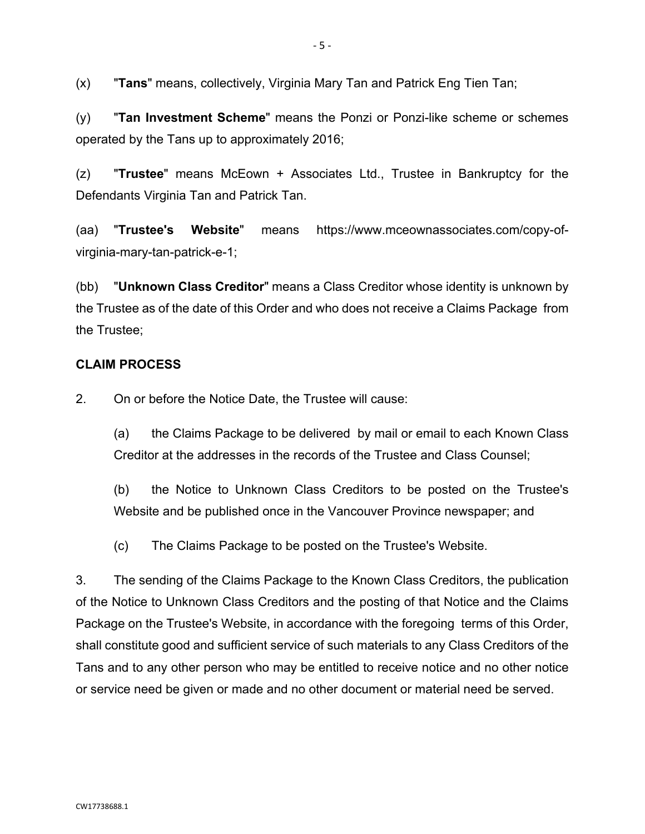(x) "**Tans**" means, collectively, Virginia Mary Tan and Patrick Eng Tien Tan;

(y) "**Tan Investment Scheme**" means the Ponzi or Ponzi-like scheme or schemes operated by the Tans up to approximately 2016;

(z) "**Trustee**" means McEown + Associates Ltd., Trustee in Bankruptcy for the Defendants Virginia Tan and Patrick Tan.

(aa) "**Trustee's Website**" means https://www.mceownassociates.com/copy-ofvirginia-mary-tan-patrick-e-1;

(bb) "**Unknown Class Creditor**" means a Class Creditor whose identity is unknown by the Trustee as of the date of this Order and who does not receive a Claims Package from the Trustee;

## **CLAIM PROCESS**

2. On or before the Notice Date, the Trustee will cause:

(a) the Claims Package to be delivered by mail or email to each Known Class Creditor at the addresses in the records of the Trustee and Class Counsel;

(b) the Notice to Unknown Class Creditors to be posted on the Trustee's Website and be published once in the Vancouver Province newspaper; and

(c) The Claims Package to be posted on the Trustee's Website.

3. The sending of the Claims Package to the Known Class Creditors, the publication of the Notice to Unknown Class Creditors and the posting of that Notice and the Claims Package on the Trustee's Website, in accordance with the foregoing terms of this Order, shall constitute good and sufficient service of such materials to any Class Creditors of the Tans and to any other person who may be entitled to receive notice and no other notice or service need be given or made and no other document or material need be served.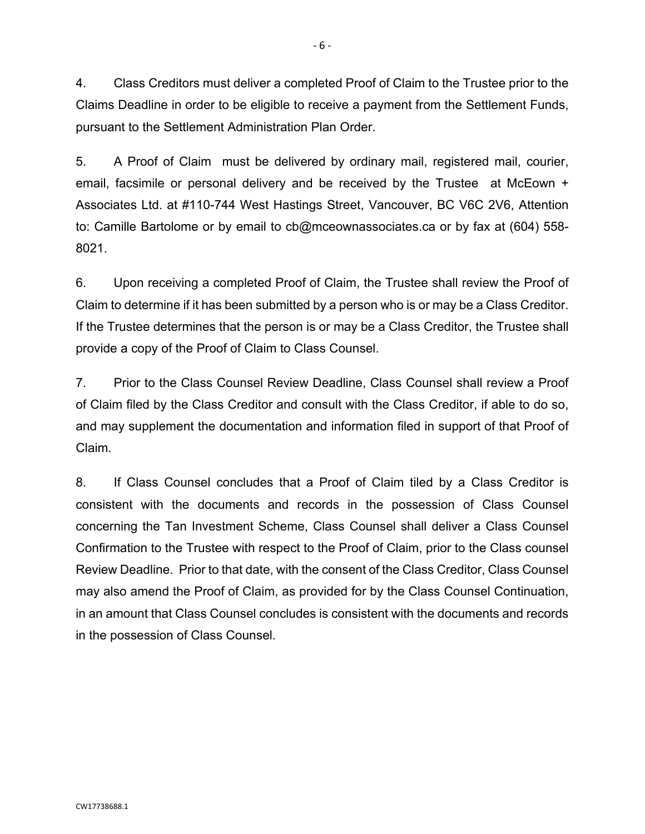4. Class Creditors must deliver a completed Proof of Claim to the Trustee prior to the Claims Deadline in order to be eligible to receive a payment from the Settlement Funds, pursuant to the Settlement Administration Plan Order.

5. A Proof of Claim must be delivered by ordinary mail, registered mail, courier, email, facsimile or personal delivery and be received by the Trustee at McEown + Associates Ltd. at #110-744 West Hastings Street, Vancouver, BC V6C 2V6, Attention to: Camille Bartolome or by email to cb@mceownassociates.ca or by fax at (604) 558- 8021.

6. Upon receiving a completed Proof of Claim, the Trustee shall review the Proof of Claim to determine if it has been submitted by a person who is or may be a Class Creditor. If the Trustee determines that the person is or may be a Class Creditor, the Trustee shall provide a copy of the Proof of Claim to Class Counsel.

7. Prior to the Class Counsel Review Deadline, Class Counsel shall review a Proof of Claim filed by the Class Creditor and consult with the Class Creditor, if able to do so, and may supplement the documentation and information filed in support of that Proof of Claim.

8. If Class Counsel concludes that a Proof of Claim tiled by a Class Creditor is consistent with the documents and records in the possession of Class Counsel concerning the Tan Investment Scheme, Class Counsel shall deliver a Class Counsel Confirmation to the Trustee with respect to the Proof of Claim, prior to the Class counsel Review Deadline. Prior to that date, with the consent of the Class Creditor, Class Counsel may also amend the Proof of Claim, as provided for by the Class Counsel Continuation, in an amount that Class Counsel concludes is consistent with the documents and records in the possession of Class Counsel.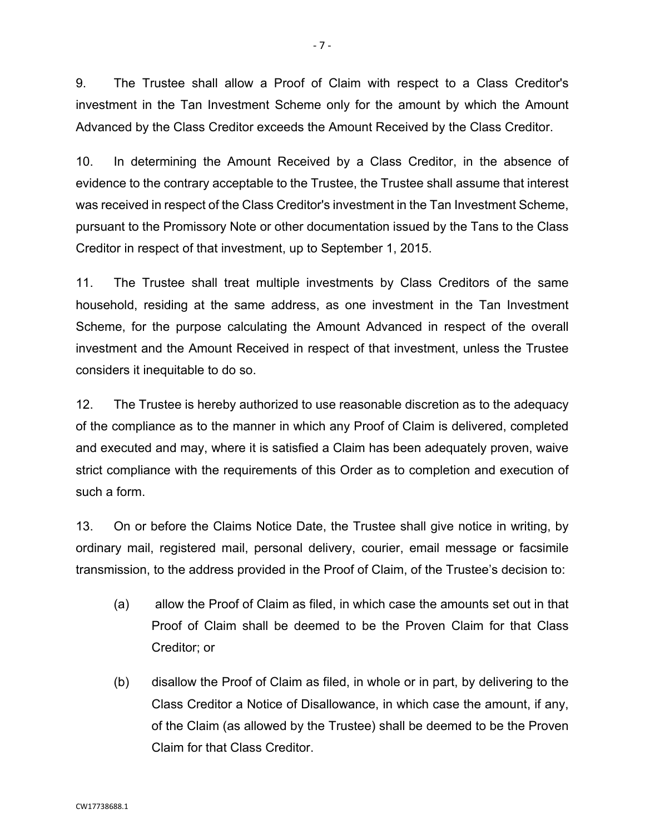9. The Trustee shall allow a Proof of Claim with respect to a Class Creditor's investment in the Tan Investment Scheme only for the amount by which the Amount Advanced by the Class Creditor exceeds the Amount Received by the Class Creditor.

10. In determining the Amount Received by a Class Creditor, in the absence of evidence to the contrary acceptable to the Trustee, the Trustee shall assume that interest was received in respect of the Class Creditor's investment in the Tan Investment Scheme, pursuant to the Promissory Note or other documentation issued by the Tans to the Class Creditor in respect of that investment, up to September 1, 2015.

11. The Trustee shall treat multiple investments by Class Creditors of the same household, residing at the same address, as one investment in the Tan Investment Scheme, for the purpose calculating the Amount Advanced in respect of the overall investment and the Amount Received in respect of that investment, unless the Trustee considers it inequitable to do so.

12. The Trustee is hereby authorized to use reasonable discretion as to the adequacy of the compliance as to the manner in which any Proof of Claim is delivered, completed and executed and may, where it is satisfied a Claim has been adequately proven, waive strict compliance with the requirements of this Order as to completion and execution of such a form.

13. On or before the Claims Notice Date, the Trustee shall give notice in writing, by ordinary mail, registered mail, personal delivery, courier, email message or facsimile transmission, to the address provided in the Proof of Claim, of the Trustee's decision to:

- (a) allow the Proof of Claim as filed, in which case the amounts set out in that Proof of Claim shall be deemed to be the Proven Claim for that Class Creditor; or
- (b) disallow the Proof of Claim as filed, in whole or in part, by delivering to the Class Creditor a Notice of Disallowance, in which case the amount, if any, of the Claim (as allowed by the Trustee) shall be deemed to be the Proven Claim for that Class Creditor.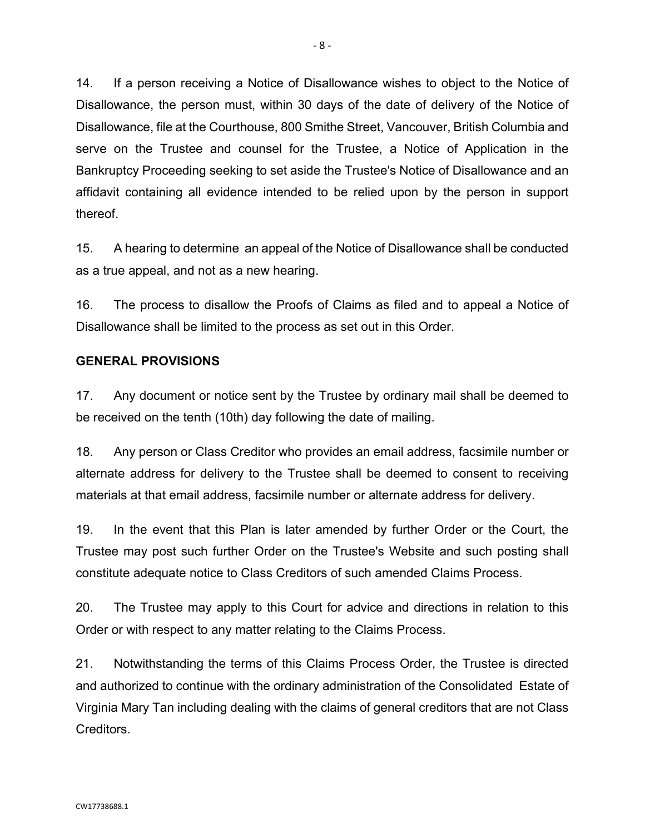14. If a person receiving a Notice of Disallowance wishes to object to the Notice of Disallowance, the person must, within 30 days of the date of delivery of the Notice of Disallowance, file at the Courthouse, 800 Smithe Street, Vancouver, British Columbia and serve on the Trustee and counsel for the Trustee, a Notice of Application in the Bankruptcy Proceeding seeking to set aside the Trustee's Notice of Disallowance and an affidavit containing all evidence intended to be relied upon by the person in support thereof.

15. A hearing to determine an appeal of the Notice of Disallowance shall be conducted as a true appeal, and not as a new hearing.

16. The process to disallow the Proofs of Claims as filed and to appeal a Notice of Disallowance shall be limited to the process as set out in this Order.

## **GENERAL PROVISIONS**

17. Any document or notice sent by the Trustee by ordinary mail shall be deemed to be received on the tenth (10th) day following the date of mailing.

18. Any person or Class Creditor who provides an email address, facsimile number or alternate address for delivery to the Trustee shall be deemed to consent to receiving materials at that email address, facsimile number or alternate address for delivery.

19. In the event that this Plan is later amended by further Order or the Court, the Trustee may post such further Order on the Trustee's Website and such posting shall constitute adequate notice to Class Creditors of such amended Claims Process.

20. The Trustee may apply to this Court for advice and directions in relation to this Order or with respect to any matter relating to the Claims Process.

21. Notwithstanding the terms of this Claims Process Order, the Trustee is directed and authorized to continue with the ordinary administration of the Consolidated Estate of Virginia Mary Tan including dealing with the claims of general creditors that are not Class Creditors.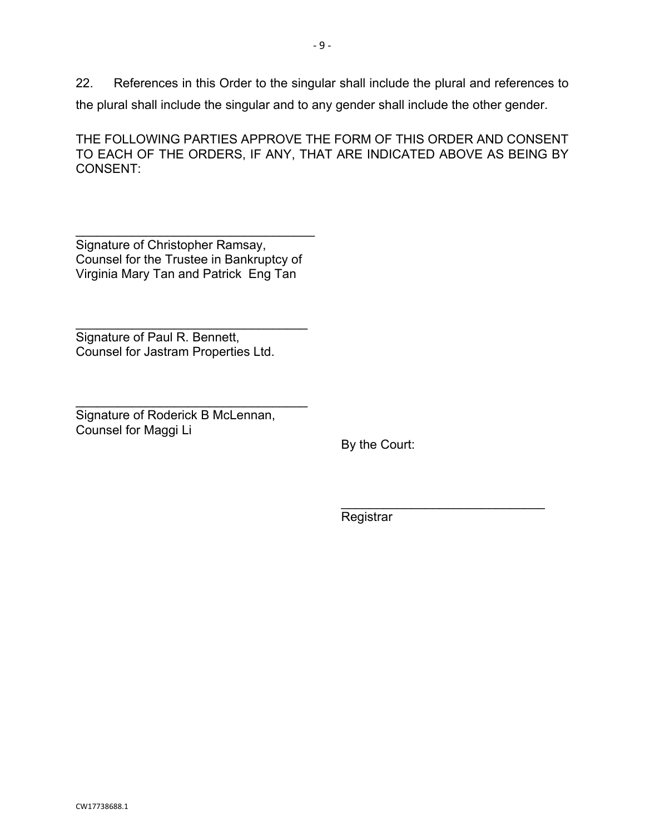22. References in this Order to the singular shall include the plural and references to the plural shall include the singular and to any gender shall include the other gender.

THE FOLLOWING PARTIES APPROVE THE FORM OF THIS ORDER AND CONSENT TO EACH OF THE ORDERS, IF ANY, THAT ARE INDICATED ABOVE AS BEING BY CONSENT:

\_\_\_\_\_\_\_\_\_\_\_\_\_\_\_\_\_\_\_\_\_\_\_\_\_\_\_\_\_\_\_\_\_\_ Signature of Christopher Ramsay, Counsel for the Trustee in Bankruptcy of Virginia Mary Tan and Patrick Eng Tan

\_\_\_\_\_\_\_\_\_\_\_\_\_\_\_\_\_\_\_\_\_\_\_\_\_\_\_\_\_\_\_\_\_

Signature of Paul R. Bennett, Counsel for Jastram Properties Ltd.

\_\_\_\_\_\_\_\_\_\_\_\_\_\_\_\_\_\_\_\_\_\_\_\_\_\_\_\_\_\_\_\_\_ Signature of Roderick B McLennan, Counsel for Maggi Li

By the Court:

 $\overline{\phantom{a}}$  , where  $\overline{\phantom{a}}$  , where  $\overline{\phantom{a}}$  , where  $\overline{\phantom{a}}$  ,  $\overline{\phantom{a}}$  ,  $\overline{\phantom{a}}$  ,  $\overline{\phantom{a}}$  ,  $\overline{\phantom{a}}$  ,  $\overline{\phantom{a}}$  ,  $\overline{\phantom{a}}$  ,  $\overline{\phantom{a}}$  ,  $\overline{\phantom{a}}$  ,  $\overline{\phantom{a}}$  ,  $\overline{\phantom{a}}$  ,  $\overline{\phantom$ 

**Registrar**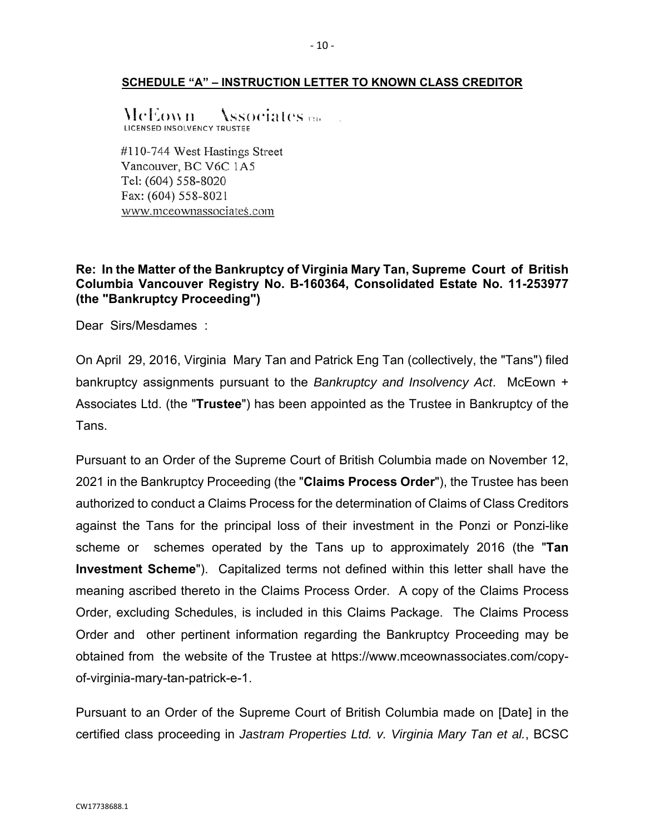#### **SCHEDULE "A" – INSTRUCTION LETTER TO KNOWN CLASS CREDITOR**

McEown Associates <sub>en</sub> LICENSED INSOLVENCY TRUSTEE

#110-744 West Hastings Street Vancouver, BC V6C 1A5 Tel: (604) 558-8020 Fax: (604) 558-8021 www.mceownassociates.com

## **Re: In the Matter of the Bankruptcy of Virginia Mary Tan, Supreme Court of British Columbia Vancouver Registry No. B-160364, Consolidated Estate No. 11-253977 (the "Bankruptcy Proceeding")**

Dear Sirs/Mesdames :

On April 29, 2016, Virginia Mary Tan and Patrick Eng Tan (collectively, the "Tans") filed bankruptcy assignments pursuant to the *Bankruptcy and Insolvency Act*. McEown + Associates Ltd. (the "**Trustee**") has been appointed as the Trustee in Bankruptcy of the Tans.

Pursuant to an Order of the Supreme Court of British Columbia made on November 12, 2021 in the Bankruptcy Proceeding (the "**Claims Process Order**"), the Trustee has been authorized to conduct a Claims Process for the determination of Claims of Class Creditors against the Tans for the principal loss of their investment in the Ponzi or Ponzi-like scheme or schemes operated by the Tans up to approximately 2016 (the "**Tan Investment Scheme**"). Capitalized terms not defined within this letter shall have the meaning ascribed thereto in the Claims Process Order. A copy of the Claims Process Order, excluding Schedules, is included in this Claims Package. The Claims Process Order and other pertinent information regarding the Bankruptcy Proceeding may be obtained from the website of the Trustee at https://www.mceownassociates.com/copyof-virginia-mary-tan-patrick-e-1.

Pursuant to an Order of the Supreme Court of British Columbia made on [Date] in the certified class proceeding in *Jastram Properties Ltd. v. Virginia Mary Tan et al.*, BCSC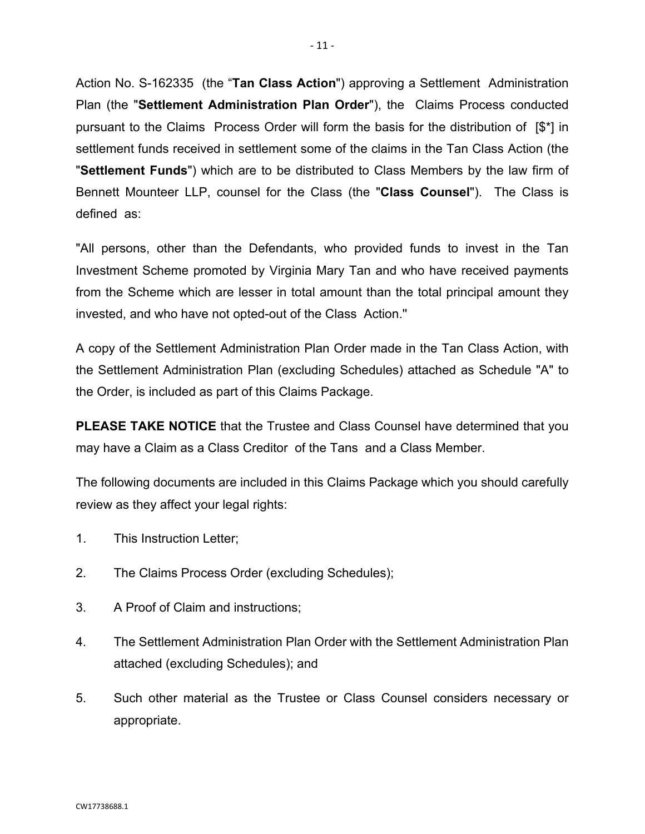Action No. S-162335 (the "**Tan Class Action**") approving a Settlement Administration Plan (the "**Settlement Administration Plan Order**"), the Claims Process conducted pursuant to the Claims Process Order will form the basis for the distribution of [\$\*] in settlement funds received in settlement some of the claims in the Tan Class Action (the "**Settlement Funds**") which are to be distributed to Class Members by the law firm of Bennett Mounteer LLP, counsel for the Class (the "**Class Counsel**"). The Class is defined as:

"All persons, other than the Defendants, who provided funds to invest in the Tan Investment Scheme promoted by Virginia Mary Tan and who have received payments from the Scheme which are lesser in total amount than the total principal amount they invested, and who have not opted-out of the Class Action.''

A copy of the Settlement Administration Plan Order made in the Tan Class Action, with the Settlement Administration Plan (excluding Schedules) attached as Schedule "A" to the Order, is included as part of this Claims Package.

**PLEASE TAKE NOTICE** that the Trustee and Class Counsel have determined that you may have a Claim as a Class Creditor of the Tans and a Class Member.

The following documents are included in this Claims Package which you should carefully review as they affect your legal rights:

- 1. This Instruction Letter;
- 2. The Claims Process Order (excluding Schedules);
- 3. A Proof of Claim and instructions;
- 4. The Settlement Administration Plan Order with the Settlement Administration Plan attached (excluding Schedules); and
- 5. Such other material as the Trustee or Class Counsel considers necessary or appropriate.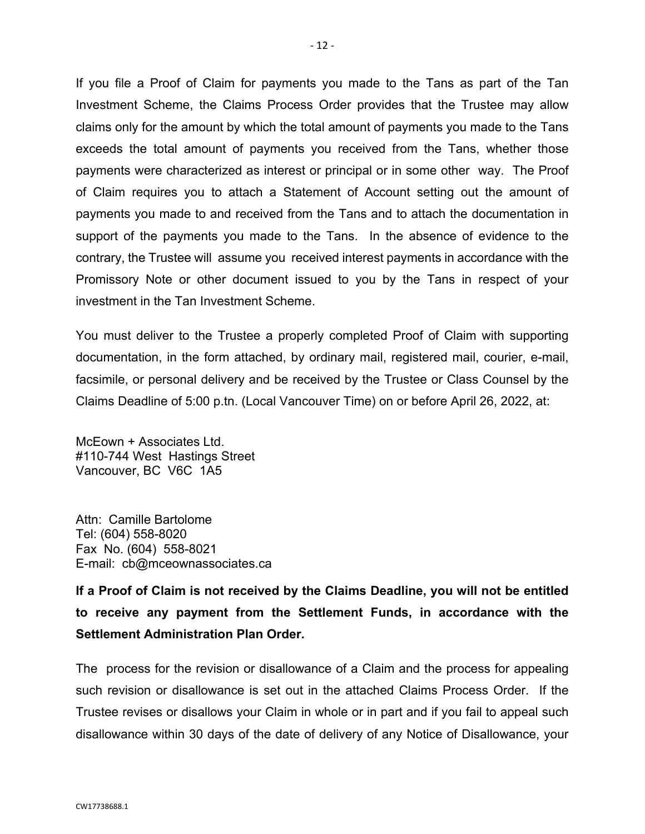If you file a Proof of Claim for payments you made to the Tans as part of the Tan Investment Scheme, the Claims Process Order provides that the Trustee may allow claims only for the amount by which the total amount of payments you made to the Tans exceeds the total amount of payments you received from the Tans, whether those payments were characterized as interest or principal or in some other way. The Proof of Claim requires you to attach a Statement of Account setting out the amount of payments you made to and received from the Tans and to attach the documentation in support of the payments you made to the Tans. In the absence of evidence to the contrary, the Trustee will assume you received interest payments in accordance with the Promissory Note or other document issued to you by the Tans in respect of your investment in the Tan Investment Scheme.

You must deliver to the Trustee a properly completed Proof of Claim with supporting documentation, in the form attached, by ordinary mail, registered mail, courier, e-mail, facsimile, or personal delivery and be received by the Trustee or Class Counsel by the Claims Deadline of 5:00 p.tn. (Local Vancouver Time) on or before April 26, 2022, at:

McEown + Associates Ltd. #110-744 West Hastings Street Vancouver, BC V6C 1A5

Attn: Camille Bartolome Tel: (604) 558-8020 Fax No. (604) 558-8021 E-mail: cb@mceownassociates.ca

**If a Proof of Claim is not received by the Claims Deadline, you will not be entitled to receive any payment from the Settlement Funds, in accordance with the Settlement Administration Plan Order.** 

The process for the revision or disallowance of a Claim and the process for appealing such revision or disallowance is set out in the attached Claims Process Order. If the Trustee revises or disallows your Claim in whole or in part and if you fail to appeal such disallowance within 30 days of the date of delivery of any Notice of Disallowance, your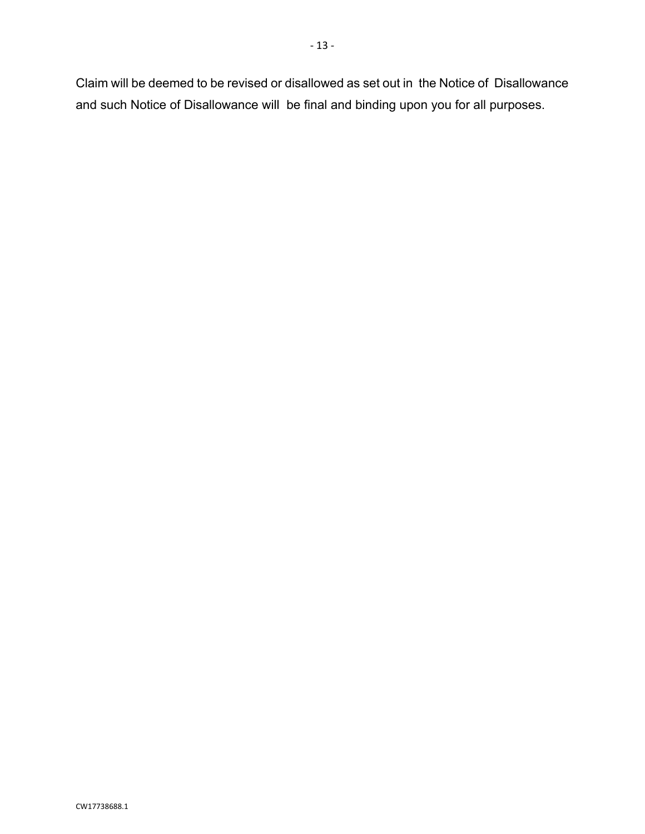Claim will be deemed to be revised or disallowed as set out in the Notice of Disallowance and such Notice of Disallowance will be final and binding upon you for all purposes.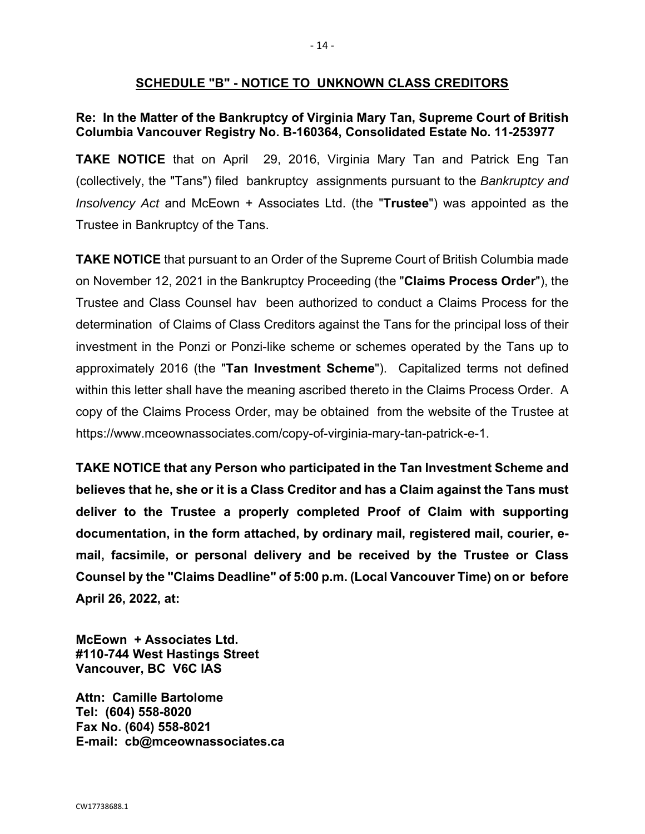## **SCHEDULE "B" - NOTICE TO UNKNOWN CLASS CREDITORS**

## **Re: In the Matter of the Bankruptcy of Virginia Mary Tan, Supreme Court of British Columbia Vancouver Registry No. B-160364, Consolidated Estate No. 11-253977**

**TAKE NOTICE** that on April 29, 2016, Virginia Mary Tan and Patrick Eng Tan (collectively, the "Tans") filed bankruptcy assignments pursuant to the *Bankruptcy and Insolvency Act* and McEown + Associates Ltd. (the "**Trustee**") was appointed as the Trustee in Bankruptcy of the Tans.

**TAKE NOTICE** that pursuant to an Order of the Supreme Court of British Columbia made on November 12, 2021 in the Bankruptcy Proceeding (the "**Claims Process Order**"), the Trustee and Class Counsel hav been authorized to conduct a Claims Process for the determination of Claims of Class Creditors against the Tans for the principal loss of their investment in the Ponzi or Ponzi-like scheme or schemes operated by the Tans up to approximately 2016 (the "**Tan Investment Scheme**"). Capitalized terms not defined within this letter shall have the meaning ascribed thereto in the Claims Process Order. A copy of the Claims Process Order, may be obtained from the website of the Trustee at https://www.mceownassociates.com/copy-of-virginia-mary-tan-patrick-e-1.

**TAKE NOTICE that any Person who participated in the Tan Investment Scheme and believes that he, she or it is a Class Creditor and has a Claim against the Tans must deliver to the Trustee a properly completed Proof of Claim with supporting documentation, in the form attached, by ordinary mail, registered mail, courier, email, facsimile, or personal delivery and be received by the Trustee or Class Counsel by the "Claims Deadline" of 5:00 p.m. (Local Vancouver Time) on or before April 26, 2022, at:** 

**McEown + Associates Ltd. #110-744 West Hastings Street Vancouver, BC V6C lAS** 

**Attn: Camille Bartolome Tel: (604) 558-8020 Fax No. (604) 558-8021 E-mail: cb@mceownassociates.ca**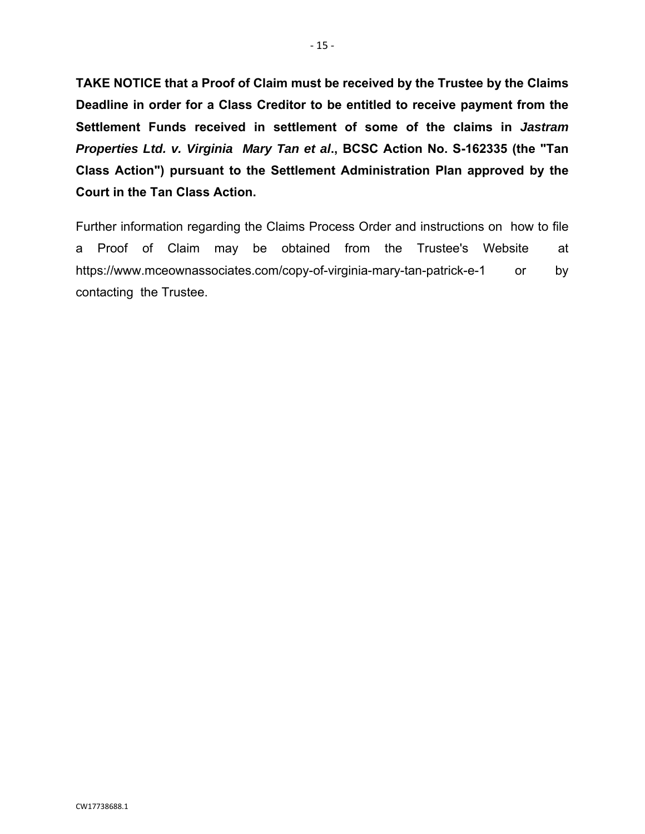**TAKE NOTICE that a Proof of Claim must be received by the Trustee by the Claims Deadline in order for a Class Creditor to be entitled to receive payment from the Settlement Funds received in settlement of some of the claims in** *Jastram Properties Ltd. v. Virginia Mary Tan et al***., BCSC Action No. S-162335 (the "Tan Class Action") pursuant to the Settlement Administration Plan approved by the Court in the Tan Class Action.** 

Further information regarding the Claims Process Order and instructions on how to file a Proof of Claim may be obtained from the Trustee's Website at https://www.mceownassociates.com/copy-of-virginia-mary-tan-patrick-e-1 or by contacting the Trustee.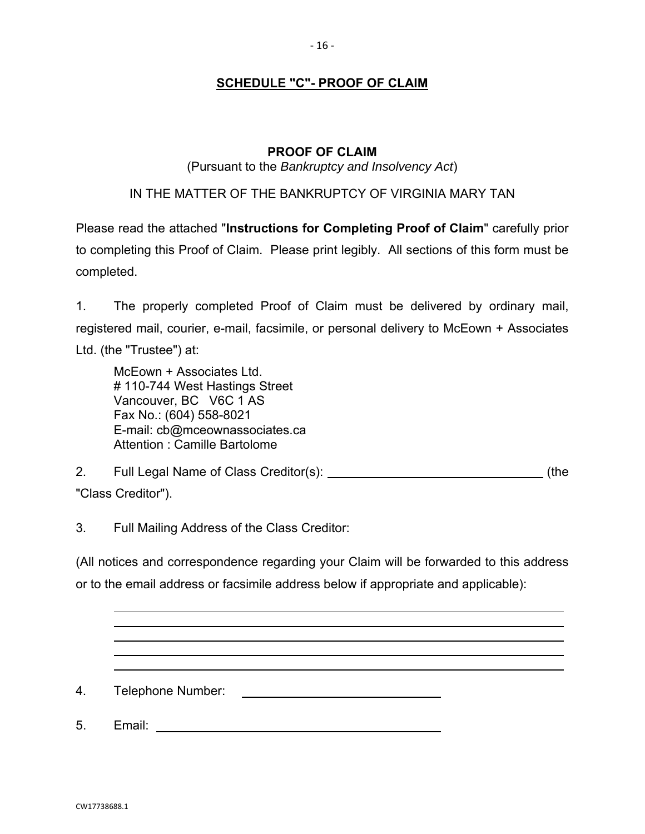## **SCHEDULE "C"- PROOF OF CLAIM**

## **PROOF OF CLAIM**

#### (Pursuant to the *Bankruptcy and Insolvency Act*)

## IN THE MATTER OF THE BANKRUPTCY OF VIRGINIA MARY TAN

Please read the attached "**Instructions for Completing Proof of Claim**" carefully prior to completing this Proof of Claim. Please print legibly. All sections of this form must be completed.

1. The properly completed Proof of Claim must be delivered by ordinary mail, registered mail, courier, e-mail, facsimile, or personal delivery to McEown + Associates Ltd. (the "Trustee") at:

McEown + Associates Ltd. # 110-744 West Hastings Street Vancouver, BC V6C 1 AS Fax No.: (604) 558-8021 E-mail: cb@mceownassociates.ca Attention : Camille Bartolome

2. Full Legal Name of Class Creditor(s): (the

"Class Creditor").

3. Full Mailing Address of the Class Creditor:

(All notices and correspondence regarding your Claim will be forwarded to this address or to the email address or facsimile address below if appropriate and applicable):

4. Telephone Number:

5. Email: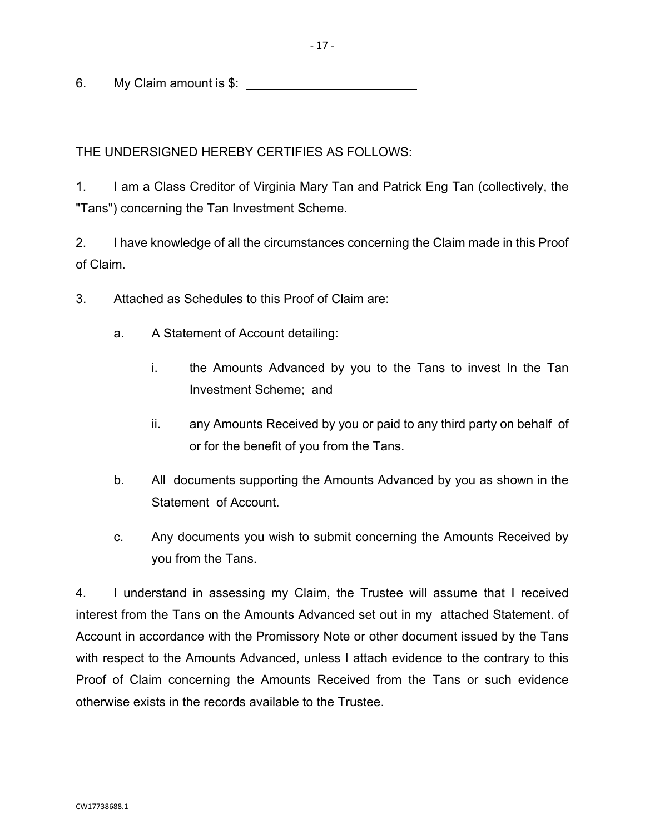6. My Claim amount is \$:

THE UNDERSIGNED HEREBY CERTIFIES AS FOLLOWS:

1. I am a Class Creditor of Virginia Mary Tan and Patrick Eng Tan (collectively, the "Tans") concerning the Tan Investment Scheme.

2. I have knowledge of all the circumstances concerning the Claim made in this Proof of Claim.

- 3. Attached as Schedules to this Proof of Claim are:
	- a. A Statement of Account detailing:
		- i. the Amounts Advanced by you to the Tans to invest In the Tan Investment Scheme; and
		- ii. any Amounts Received by you or paid to any third party on behalf of or for the benefit of you from the Tans.
	- b. All documents supporting the Amounts Advanced by you as shown in the Statement of Account.
	- c. Any documents you wish to submit concerning the Amounts Received by you from the Tans.

4. I understand in assessing my Claim, the Trustee will assume that I received interest from the Tans on the Amounts Advanced set out in my attached Statement. of Account in accordance with the Promissory Note or other document issued by the Tans with respect to the Amounts Advanced, unless I attach evidence to the contrary to this Proof of Claim concerning the Amounts Received from the Tans or such evidence otherwise exists in the records available to the Trustee.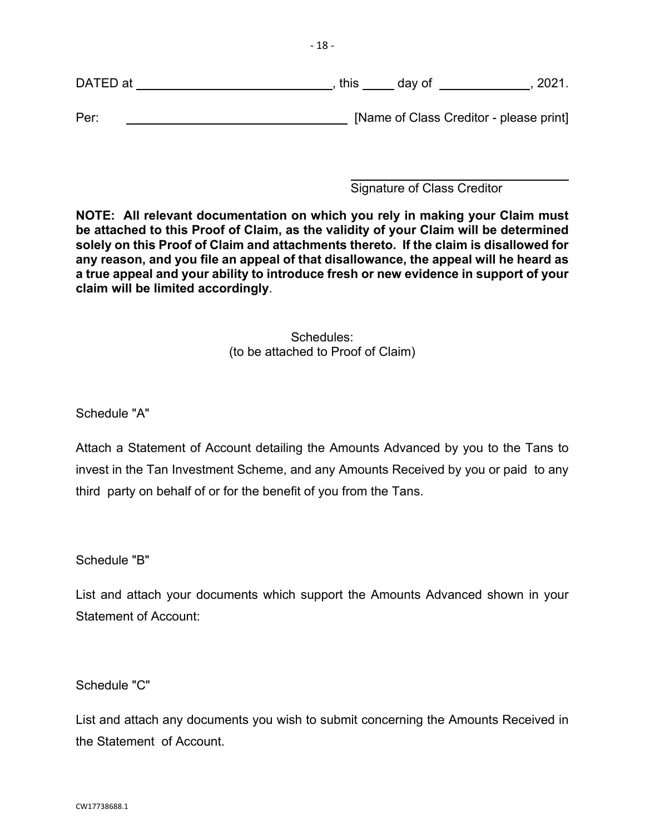DATED at , this day of , 2021.

Per: [Name of Class Creditor - please print]

 $\overline{a}$ Signature of Class Creditor

**NOTE: All relevant documentation on which you rely in making your Claim must be attached to this Proof of Claim, as the validity of your Claim will be determined solely on this Proof of Claim and attachments thereto. If the claim is disallowed for any reason, and you file an appeal of that disallowance, the appeal will he heard as a true appeal and your ability to introduce fresh or new evidence in support of your claim will be limited accordingly**.

> Schedules: (to be attached to Proof of Claim)

Schedule "A"

Attach a Statement of Account detailing the Amounts Advanced by you to the Tans to invest in the Tan Investment Scheme, and any Amounts Received by you or paid to any third party on behalf of or for the benefit of you from the Tans.

Schedule "B"

List and attach your documents which support the Amounts Advanced shown in your Statement of Account:

Schedule "C"

List and attach any documents you wish to submit concerning the Amounts Received in the Statement of Account.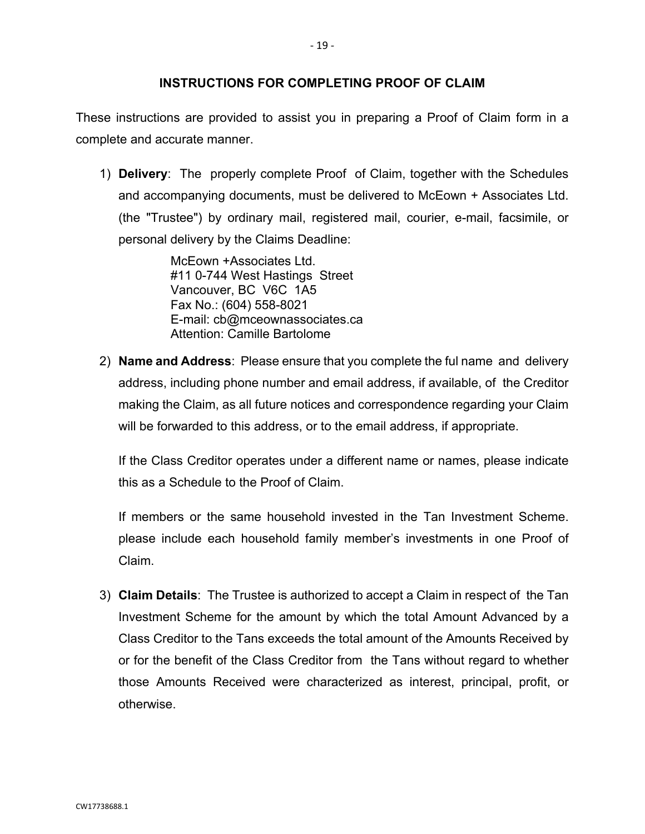These instructions are provided to assist you in preparing a Proof of Claim form in a complete and accurate manner.

1) **Delivery**: The properly complete Proof of Claim, together with the Schedules and accompanying documents, must be delivered to McEown + Associates Ltd. (the "Trustee") by ordinary mail, registered mail, courier, e-mail, facsimile, or personal delivery by the Claims Deadline:

> McEown +Associates Ltd. #11 0-744 West Hastings Street Vancouver, BC V6C 1A5 Fax No.: (604) 558-8021 E-mail: cb@mceownassociates.ca Attention: Camille Bartolome

2) **Name and Address**: Please ensure that you complete the ful name and delivery address, including phone number and email address, if available, of the Creditor making the Claim, as all future notices and correspondence regarding your Claim will be forwarded to this address, or to the email address, if appropriate.

 If the Class Creditor operates under a different name or names, please indicate this as a Schedule to the Proof of Claim.

 If members or the same household invested in the Tan Investment Scheme. please include each household family member's investments in one Proof of Claim.

3) **Claim Details**: The Trustee is authorized to accept a Claim in respect of the Tan Investment Scheme for the amount by which the total Amount Advanced by a Class Creditor to the Tans exceeds the total amount of the Amounts Received by or for the benefit of the Class Creditor from the Tans without regard to whether those Amounts Received were characterized as interest, principal, profit, or otherwise.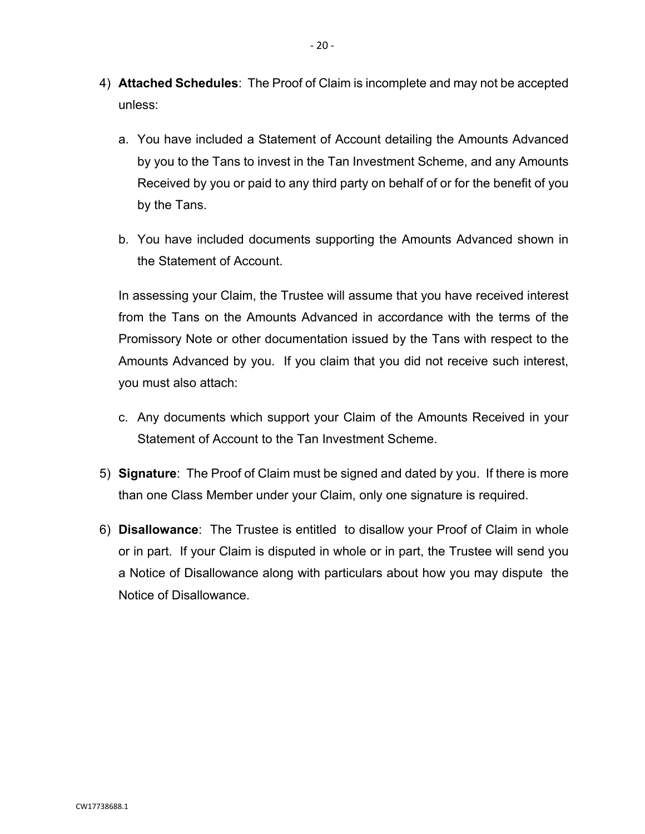- 4) **Attached Schedules**: The Proof of Claim is incomplete and may not be accepted unless:
	- a. You have included a Statement of Account detailing the Amounts Advanced by you to the Tans to invest in the Tan Investment Scheme, and any Amounts Received by you or paid to any third party on behalf of or for the benefit of you by the Tans.
	- b. You have included documents supporting the Amounts Advanced shown in the Statement of Account.

 In assessing your Claim, the Trustee will assume that you have received interest from the Tans on the Amounts Advanced in accordance with the terms of the Promissory Note or other documentation issued by the Tans with respect to the Amounts Advanced by you. If you claim that you did not receive such interest, you must also attach:

- c. Any documents which support your Claim of the Amounts Received in your Statement of Account to the Tan Investment Scheme.
- 5) **Signature**: The Proof of Claim must be signed and dated by you. If there is more than one Class Member under your Claim, only one signature is required.
- 6) **Disallowance**: The Trustee is entitled to disallow your Proof of Claim in whole or in part. If your Claim is disputed in whole or in part, the Trustee will send you a Notice of Disallowance along with particulars about how you may dispute the Notice of Disallowance.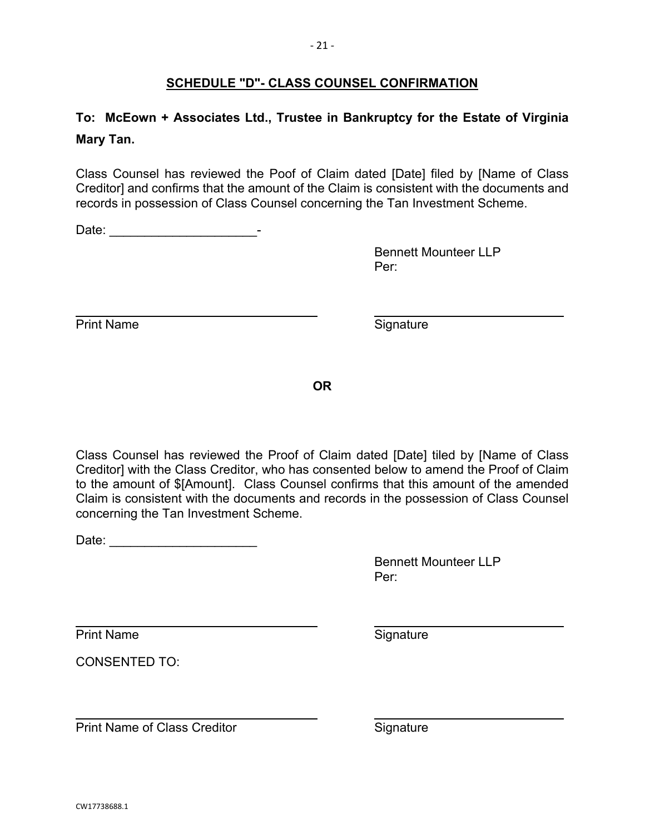# CW17738688.1

# **SCHEDULE "D"- CLASS COUNSEL CONFIRMATION**

# **To: McEown + Associates Ltd., Trustee in Bankruptcy for the Estate of Virginia Mary Tan.**

Class Counsel has reviewed the Poof of Claim dated [Date] filed by [Name of Class Creditor] and confirms that the amount of the Claim is consistent with the documents and records in possession of Class Counsel concerning the Tan Investment Scheme.

Date: \_\_\_\_\_\_\_\_\_\_\_\_\_\_\_\_\_\_\_\_\_-

 Bennett Mounteer LLP **Per:** Per:

 $\overline{a}$ Print Name Signature

**OR** 

Class Counsel has reviewed the Proof of Claim dated [Date] tiled by [Name of Class Creditor] with the Class Creditor, who has consented below to amend the Proof of Claim to the amount of \$[Amount]. Class Counsel confirms that this amount of the amended Claim is consistent with the documents and records in the possession of Class Counsel concerning the Tan Investment Scheme.

Date: \_\_\_\_\_\_\_\_\_\_\_\_\_\_\_\_\_\_\_\_\_

 Bennett Mounteer LLP **Per:** Per: 2014 Per:

l Print Name Signature

CONSENTED TO:

 $\overline{a}$ Print Name of Class Creditor **Signature** Signature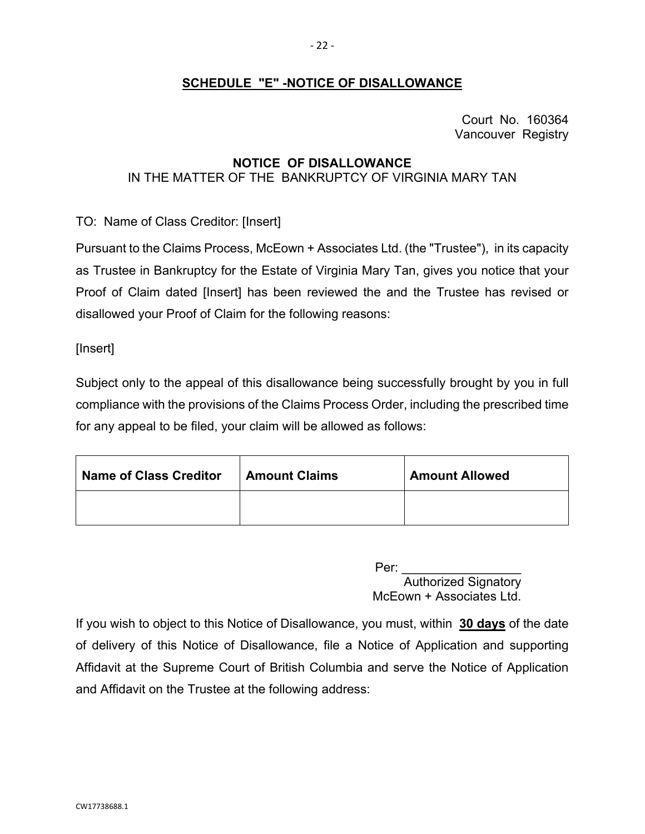## **SCHEDULE "E" -NOTICE OF DISALLOWANCE**

Court No. 160364 Vancouver Registry

## **NOTICE OF DISALLOWANCE**  IN THE MATTER OF THE BANKRUPTCY OF VIRGINIA MARY TAN

TO: Name of Class Creditor: [Insert]

Pursuant to the Claims Process, McEown + Associates Ltd. (the "Trustee"), in its capacity as Trustee in Bankruptcy for the Estate of Virginia Mary Tan, gives you notice that your Proof of Claim dated [Insert] has been reviewed the and the Trustee has revised or disallowed your Proof of Claim for the following reasons:

[Insert]

Subject only to the appeal of this disallowance being successfully brought by you in full compliance with the provisions of the Claims Process Order, including the prescribed time for any appeal to be filed, your claim will be allowed as follows:

| <b>Name of Class Creditor</b> | <b>Amount Claims</b> | <b>Amount Allowed</b> |
|-------------------------------|----------------------|-----------------------|
|                               |                      |                       |

 Per: \_\_\_\_\_\_\_\_\_\_\_\_\_\_\_\_\_ Authorized Signatory McEown + Associates Ltd.

If you wish to object to this Notice of Disallowance, you must, within **30 days** of the date of delivery of this Notice of Disallowance, file a Notice of Application and supporting Affidavit at the Supreme Court of British Columbia and serve the Notice of Application and Affidavit on the Trustee at the following address: